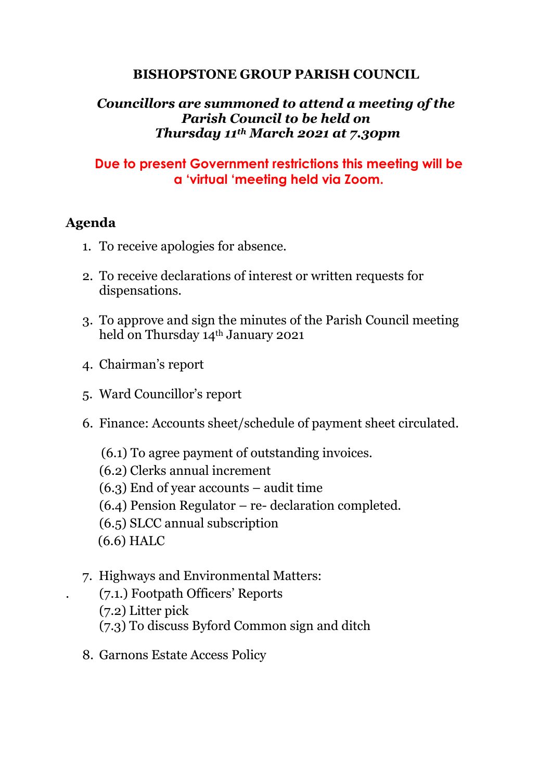## **BISHOPSTONE GROUP PARISH COUNCIL**

## *Councillors are summoned to attend a meeting of the Parish Council to be held on Thursday 11th March 2021 at 7.30pm*

## **Due to present Government restrictions this meeting will be a 'virtual 'meeting held via Zoom.**

## **Agenda**

- 1. To receive apologies for absence.
- 2. To receive declarations of interest or written requests for dispensations.
- 3. To approve and sign the minutes of the Parish Council meeting held on Thursday 14th January 2021
- 4. Chairman's report
- 5. Ward Councillor's report
- 6. Finance: Accounts sheet/schedule of payment sheet circulated.
	- (6.1) To agree payment of outstanding invoices.
	- (6.2) Clerks annual increment
	- (6.3) End of year accounts audit time
	- (6.4) Pension Regulator re- declaration completed.
	- (6.5) SLCC annual subscription
	- (6.6) HALC
- 7. Highways and Environmental Matters:
	- . (7.1.) Footpath Officers' Reports
	- (7.2) Litter pick
	- (7.3) To discuss Byford Common sign and ditch
- 8. Garnons Estate Access Policy